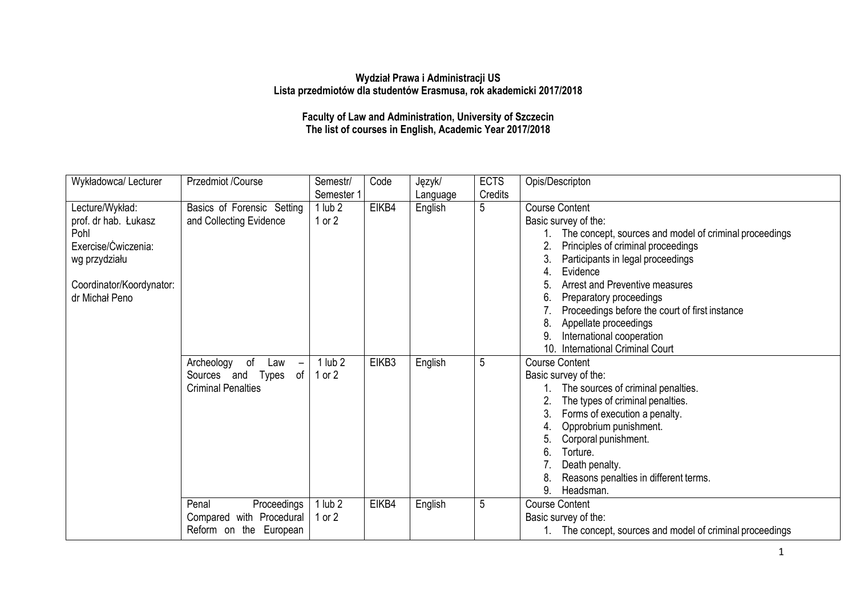## **Wydział Prawa i Administracji US Lista przedmiotów dla studentów Erasmusa, rok akademicki 2017/2018**

**Faculty of Law and Administration, University of Szczecin The list of courses in English, Academic Year 2017/2018**

| Wykładowca/Lecturer      | Przedmiot /Course                                   | Semestr/    | Code  | Język/   | <b>ECTS</b> | Opis/Descripton                                        |
|--------------------------|-----------------------------------------------------|-------------|-------|----------|-------------|--------------------------------------------------------|
|                          |                                                     | Semester 1  |       | Language | Credits     |                                                        |
| Lecture/Wykład:          | Basics of Forensic Setting                          | $1$ lub $2$ | EIKB4 | English  | 5           | <b>Course Content</b>                                  |
| prof. dr hab. Łukasz     | and Collecting Evidence                             | $1$ or $2$  |       |          |             | Basic survey of the:                                   |
| Pohl                     |                                                     |             |       |          |             | The concept, sources and model of criminal proceedings |
| Exercise/Ćwiczenia:      |                                                     |             |       |          |             | Principles of criminal proceedings<br>2.               |
| wg przydziału            |                                                     |             |       |          |             | Participants in legal proceedings                      |
|                          |                                                     |             |       |          |             | Evidence                                               |
| Coordinator/Koordynator: |                                                     |             |       |          |             | Arrest and Preventive measures                         |
| dr Michał Peno           |                                                     |             |       |          |             | Preparatory proceedings<br>ნ.                          |
|                          |                                                     |             |       |          |             | Proceedings before the court of first instance         |
|                          |                                                     |             |       |          |             | Appellate proceedings<br>8.                            |
|                          |                                                     |             |       |          |             | International cooperation                              |
|                          |                                                     |             |       |          |             | 10.<br><b>International Criminal Court</b>             |
|                          | Archeology<br>of<br>Law<br>$\overline{\phantom{m}}$ | $1$ lub $2$ | EIKB3 | English  | 5           | <b>Course Content</b>                                  |
|                          | of<br>Sources and Types                             | 1 or $2$    |       |          |             | Basic survey of the:                                   |
|                          | <b>Criminal Penalties</b>                           |             |       |          |             | The sources of criminal penalties.                     |
|                          |                                                     |             |       |          |             | The types of criminal penalties.<br>2.                 |
|                          |                                                     |             |       |          |             | Forms of execution a penalty.                          |
|                          |                                                     |             |       |          |             | Opprobrium punishment.                                 |
|                          |                                                     |             |       |          |             | Corporal punishment.                                   |
|                          |                                                     |             |       |          |             | Torture.<br>6                                          |
|                          |                                                     |             |       |          |             | Death penalty.                                         |
|                          |                                                     |             |       |          |             | Reasons penalties in different terms.                  |
|                          |                                                     |             |       |          |             | 9.<br>Headsman.                                        |
|                          | Penal<br>Proceedings                                | $1$ lub $2$ | EIKB4 | English  | 5           | <b>Course Content</b>                                  |
|                          | Compared with Procedural                            | 1 or $2$    |       |          |             | Basic survey of the:                                   |
|                          | Reform on the European                              |             |       |          |             | The concept, sources and model of criminal proceedings |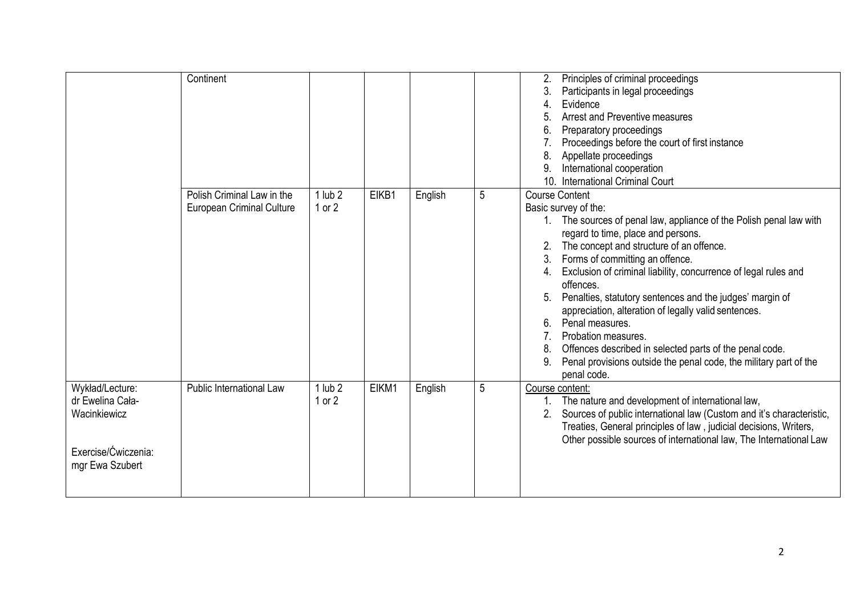|                                                                                               | Continent                                               |                           |       |         |   | Principles of criminal proceedings<br>2.<br>3.<br>Participants in legal proceedings<br>4.<br>Evidence<br>Arrest and Preventive measures<br>5.<br>6.<br>Preparatory proceedings<br>Proceedings before the court of first instance<br>8<br>Appellate proceedings<br>International cooperation<br>9<br>10. International Criminal Court                                                                                                                                                                                                                                                                                                                                 |
|-----------------------------------------------------------------------------------------------|---------------------------------------------------------|---------------------------|-------|---------|---|----------------------------------------------------------------------------------------------------------------------------------------------------------------------------------------------------------------------------------------------------------------------------------------------------------------------------------------------------------------------------------------------------------------------------------------------------------------------------------------------------------------------------------------------------------------------------------------------------------------------------------------------------------------------|
|                                                                                               | Polish Criminal Law in the<br>European Criminal Culture | $1$ lub $2$<br>$1$ or $2$ | EIKB1 | English | 5 | <b>Course Content</b><br>Basic survey of the:<br>1. The sources of penal law, appliance of the Polish penal law with<br>regard to time, place and persons.<br>The concept and structure of an offence.<br>Forms of committing an offence.<br>3.<br>Exclusion of criminal liability, concurrence of legal rules and<br>4.<br>offences.<br>Penalties, statutory sentences and the judges' margin of<br>appreciation, alteration of legally valid sentences.<br>Penal measures.<br>6.<br>Probation measures.<br>Offences described in selected parts of the penal code.<br>8.<br>Penal provisions outside the penal code, the military part of the<br>9.<br>penal code. |
| Wykład/Lecture:<br>dr Ewelina Cała-<br>Wacinkiewicz<br>Exercise/Ćwiczenia:<br>mgr Ewa Szubert | Public International Law                                | $1$ lub $2$<br>1 or $2$   | EIKM1 | English | 5 | Course content:<br>The nature and development of international law,<br>Sources of public international law (Custom and it's characteristic,<br>2.<br>Treaties, General principles of law, judicial decisions, Writers,<br>Other possible sources of international law, The International Law                                                                                                                                                                                                                                                                                                                                                                         |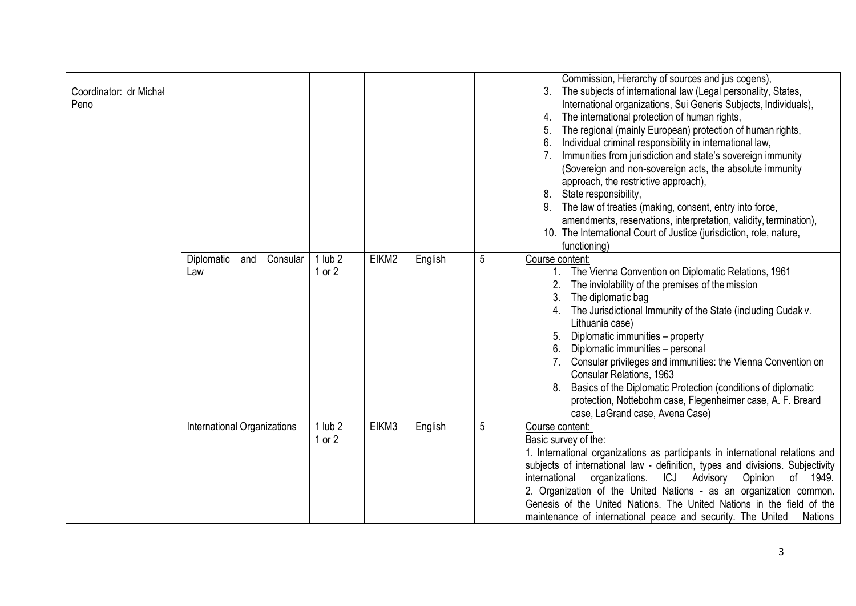| Coordinator: dr Michał<br>Peno | Diplomatic<br>Consular<br>and | lub <sub>2</sub>          | EIKM2 | English | 5              | Commission, Hierarchy of sources and jus cogens),<br>The subjects of international law (Legal personality, States,<br>3.<br>International organizations, Sui Generis Subjects, Individuals),<br>The international protection of human rights,<br>4.<br>The regional (mainly European) protection of human rights,<br>5.<br>Individual criminal responsibility in international law,<br>6.<br>Immunities from jurisdiction and state's sovereign immunity<br>(Sovereign and non-sovereign acts, the absolute immunity<br>approach, the restrictive approach),<br>State responsibility,<br>8.<br>The law of treaties (making, consent, entry into force,<br>amendments, reservations, interpretation, validity, termination),<br>10. The International Court of Justice (jurisdiction, role, nature,<br>functioning)<br>Course content: |
|--------------------------------|-------------------------------|---------------------------|-------|---------|----------------|---------------------------------------------------------------------------------------------------------------------------------------------------------------------------------------------------------------------------------------------------------------------------------------------------------------------------------------------------------------------------------------------------------------------------------------------------------------------------------------------------------------------------------------------------------------------------------------------------------------------------------------------------------------------------------------------------------------------------------------------------------------------------------------------------------------------------------------|
|                                | Law                           | $1$ or $2$                |       |         |                | The Vienna Convention on Diplomatic Relations, 1961<br>$1_{\cdot}$<br>The inviolability of the premises of the mission<br>The diplomatic bag<br>3.<br>The Jurisdictional Immunity of the State (including Cudak v.<br>4.<br>Lithuania case)<br>Diplomatic immunities - property<br>Diplomatic immunities - personal<br>6.<br>Consular privileges and immunities: the Vienna Convention on<br><b>Consular Relations, 1963</b><br>Basics of the Diplomatic Protection (conditions of diplomatic<br>protection, Nottebohm case, Flegenheimer case, A. F. Breard<br>case, LaGrand case, Avena Case)                                                                                                                                                                                                                                       |
|                                | International Organizations   | $1$ lub $2$<br>$1$ or $2$ | EIKM3 | English | $\overline{5}$ | Course content:<br>Basic survey of the:<br>1. International organizations as participants in international relations and<br>subjects of international law - definition, types and divisions. Subjectivity<br>organizations.<br>ICJ Advisory Opinion<br>international<br>of 1949.<br>2. Organization of the United Nations - as an organization common.<br>Genesis of the United Nations. The United Nations in the field of the<br>maintenance of international peace and security. The United<br><b>Nations</b>                                                                                                                                                                                                                                                                                                                      |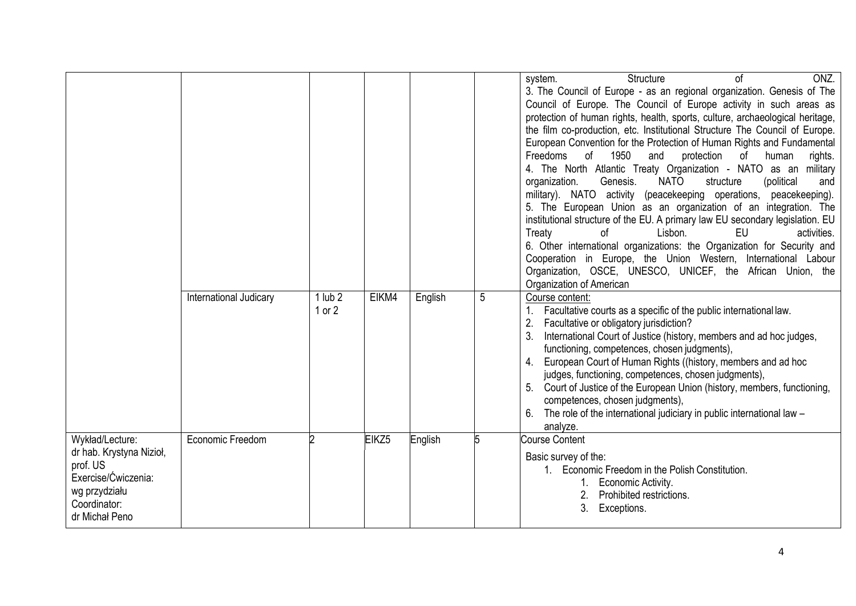|                                                                                                                                   |                        |                           |       |         |   | ONZ.<br>Structure<br>system.<br>Ωf<br>3. The Council of Europe - as an regional organization. Genesis of The<br>Council of Europe. The Council of Europe activity in such areas as<br>protection of human rights, health, sports, culture, archaeological heritage,<br>the film co-production, etc. Institutional Structure The Council of Europe.<br>European Convention for the Protection of Human Rights and Fundamental<br>Freedoms<br>of<br>1950<br>protection<br>of<br>human<br>and<br>rights.<br>4. The North Atlantic Treaty Organization - NATO as an military<br>Genesis.<br><b>NATO</b><br>organization.<br>structure<br>(political<br>and<br>military). NATO activity (peacekeeping operations, peacekeeping).<br>5. The European Union as an organization of an integration. The<br>institutional structure of the EU. A primary law EU secondary legislation. EU<br><b>EU</b><br>of<br>Lisbon.<br>activities.<br>Treaty<br>6. Other international organizations: the Organization for Security and<br>Cooperation in Europe, the Union Western, International Labour<br>Organization, OSCE, UNESCO, UNICEF, the African Union, the<br>Organization of American |
|-----------------------------------------------------------------------------------------------------------------------------------|------------------------|---------------------------|-------|---------|---|-------------------------------------------------------------------------------------------------------------------------------------------------------------------------------------------------------------------------------------------------------------------------------------------------------------------------------------------------------------------------------------------------------------------------------------------------------------------------------------------------------------------------------------------------------------------------------------------------------------------------------------------------------------------------------------------------------------------------------------------------------------------------------------------------------------------------------------------------------------------------------------------------------------------------------------------------------------------------------------------------------------------------------------------------------------------------------------------------------------------------------------------------------------------------------|
|                                                                                                                                   | International Judicary | $1$ lub $2$<br>$1$ or $2$ | EIKM4 | English | 5 | Course content:<br>Facultative courts as a specific of the public international law.<br>Facultative or obligatory jurisdiction?<br>International Court of Justice (history, members and ad hoc judges,<br>functioning, competences, chosen judgments),<br>European Court of Human Rights ((history, members and ad hoc<br>judges, functioning, competences, chosen judgments),<br>Court of Justice of the European Union (history, members, functioning,<br>competences, chosen judgments),<br>The role of the international judiciary in public international law -<br>analyze.                                                                                                                                                                                                                                                                                                                                                                                                                                                                                                                                                                                              |
| Wykład/Lecture:<br>dr hab. Krystyna Nizioł,<br>prof. US<br>Exercise/Ćwiczenia:<br>wg przydziału<br>Coordinator:<br>dr Michał Peno | Economic Freedom       |                           | EIKZ5 | English | 5 | <b>Course Content</b><br>Basic survey of the:<br>1. Economic Freedom in the Polish Constitution.<br>1. Economic Activity.<br>2.<br>Prohibited restrictions.<br>Exceptions.                                                                                                                                                                                                                                                                                                                                                                                                                                                                                                                                                                                                                                                                                                                                                                                                                                                                                                                                                                                                    |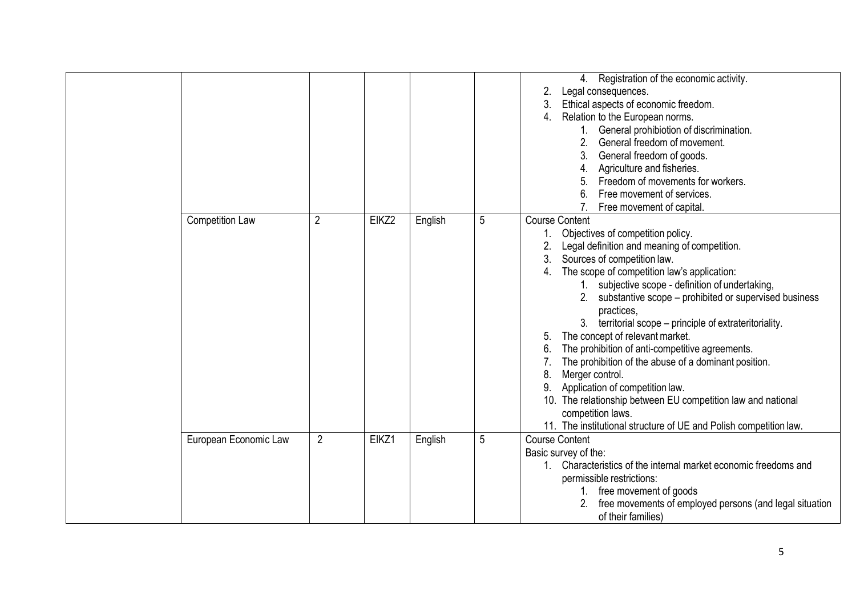|                        |                |       |         |   | 4. Registration of the economic activity.<br>2.<br>Legal consequences.<br>Ethical aspects of economic freedom.<br>3.<br>Relation to the European norms.<br>4.                                                                                                                                                                                                                                                                                                                                                                                                                                                                                                                                                                                                                 |
|------------------------|----------------|-------|---------|---|-------------------------------------------------------------------------------------------------------------------------------------------------------------------------------------------------------------------------------------------------------------------------------------------------------------------------------------------------------------------------------------------------------------------------------------------------------------------------------------------------------------------------------------------------------------------------------------------------------------------------------------------------------------------------------------------------------------------------------------------------------------------------------|
|                        |                |       |         |   | General prohibiotion of discrimination.<br>2.<br>General freedom of movement.<br>General freedom of goods.                                                                                                                                                                                                                                                                                                                                                                                                                                                                                                                                                                                                                                                                    |
|                        |                |       |         |   | Agriculture and fisheries.                                                                                                                                                                                                                                                                                                                                                                                                                                                                                                                                                                                                                                                                                                                                                    |
|                        |                |       |         |   | Freedom of movements for workers.                                                                                                                                                                                                                                                                                                                                                                                                                                                                                                                                                                                                                                                                                                                                             |
|                        |                |       |         |   | Free movement of services.<br>6.                                                                                                                                                                                                                                                                                                                                                                                                                                                                                                                                                                                                                                                                                                                                              |
|                        |                |       |         |   | Free movement of capital.                                                                                                                                                                                                                                                                                                                                                                                                                                                                                                                                                                                                                                                                                                                                                     |
| <b>Competition Law</b> | $\overline{2}$ | EIKZ2 | English | 5 | <b>Course Content</b><br>Objectives of competition policy.<br>Legal definition and meaning of competition.<br>Sources of competition law.<br>3.<br>The scope of competition law's application:<br>4.<br>1. subjective scope - definition of undertaking,<br>2. substantive scope – prohibited or supervised business<br>practices,<br>3. territorial scope – principle of extrateritoriality.<br>The concept of relevant market.<br>5.<br>The prohibition of anti-competitive agreements.<br>6.<br>The prohibition of the abuse of a dominant position.<br>Merger control.<br>8.<br>Application of competition law.<br>10. The relationship between EU competition law and national<br>competition laws.<br>11. The institutional structure of UE and Polish competition law. |
| European Economic Law  | $\overline{2}$ | EIKZ1 | English | 5 | <b>Course Content</b><br>Basic survey of the:<br>1. Characteristics of the internal market economic freedoms and<br>permissible restrictions:<br>1. free movement of goods<br>free movements of employed persons (and legal situation<br>of their families)                                                                                                                                                                                                                                                                                                                                                                                                                                                                                                                   |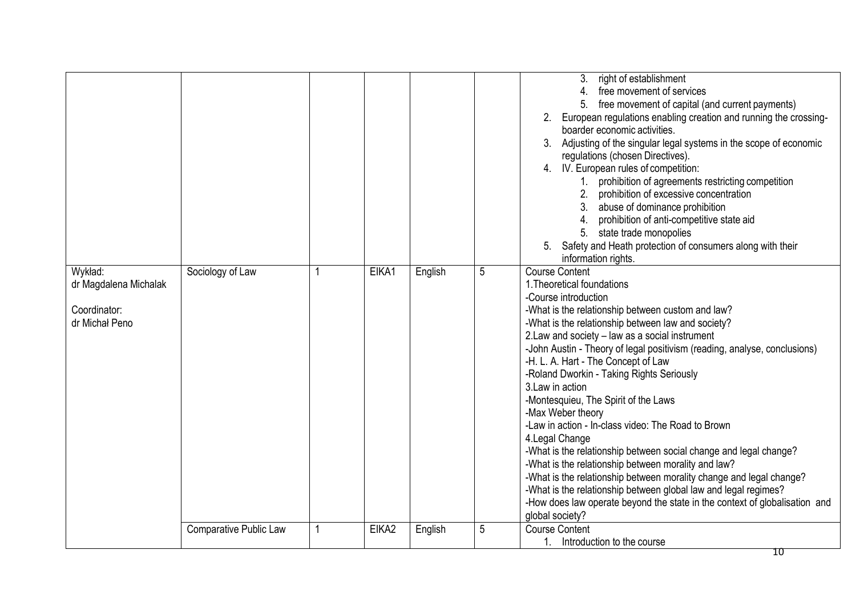|                                                                    |                               |              |       |         |   | 3. right of establishment<br>4. free movement of services<br>free movement of capital (and current payments)<br>2. European regulations enabling creation and running the crossing-<br>boarder economic activities.<br>Adjusting of the singular legal systems in the scope of economic<br>3.<br>regulations (chosen Directives).<br>4. IV. European rules of competition:<br>1. prohibition of agreements restricting competition<br>2. prohibition of excessive concentration<br>abuse of dominance prohibition<br>3 <sub>1</sub><br>4. prohibition of anti-competitive state aid<br>5. state trade monopolies<br>5. Safety and Heath protection of consumers along with their<br>information rights.                                                                                                                                                                                                                                     |
|--------------------------------------------------------------------|-------------------------------|--------------|-------|---------|---|---------------------------------------------------------------------------------------------------------------------------------------------------------------------------------------------------------------------------------------------------------------------------------------------------------------------------------------------------------------------------------------------------------------------------------------------------------------------------------------------------------------------------------------------------------------------------------------------------------------------------------------------------------------------------------------------------------------------------------------------------------------------------------------------------------------------------------------------------------------------------------------------------------------------------------------------|
| Wykład:<br>dr Magdalena Michalak<br>Coordinator:<br>dr Michał Peno | Sociology of Law              | 1            | EIKA1 | English | 5 | <b>Course Content</b><br>1. Theoretical foundations<br>-Course introduction<br>-What is the relationship between custom and law?<br>-What is the relationship between law and society?<br>2. Law and society - law as a social instrument<br>-John Austin - Theory of legal positivism (reading, analyse, conclusions)<br>-H. L. A. Hart - The Concept of Law<br>-Roland Dworkin - Taking Rights Seriously<br>3. Law in action<br>-Montesquieu, The Spirit of the Laws<br>-Max Weber theory<br>-Law in action - In-class video: The Road to Brown<br>4. Legal Change<br>-What is the relationship between social change and legal change?<br>-What is the relationship between morality and law?<br>-What is the relationship between morality change and legal change?<br>-What is the relationship between global law and legal regimes?<br>-How does law operate beyond the state in the context of globalisation and<br>global society? |
|                                                                    | <b>Comparative Public Law</b> | $\mathbf{1}$ | EIKA2 | English | 5 | <b>Course Content</b><br>1. Introduction to the course<br>10                                                                                                                                                                                                                                                                                                                                                                                                                                                                                                                                                                                                                                                                                                                                                                                                                                                                                |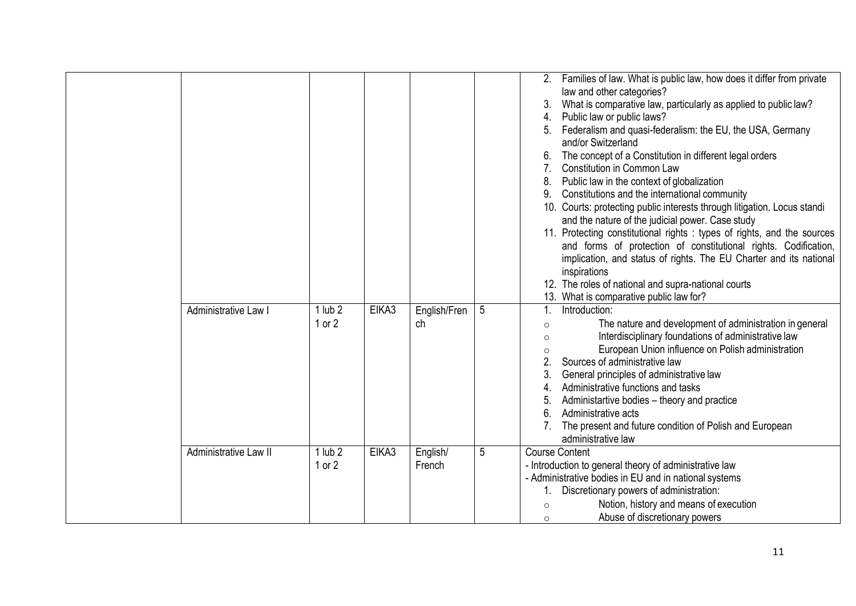|                       |             |       |              |   | 2.                             | Families of law. What is public law, how does it differ from private     |
|-----------------------|-------------|-------|--------------|---|--------------------------------|--------------------------------------------------------------------------|
|                       |             |       |              |   |                                | law and other categories?                                                |
|                       |             |       |              |   |                                | What is comparative law, particularly as applied to public law?          |
|                       |             |       |              |   | 4.                             | Public law or public laws?                                               |
|                       |             |       |              |   |                                | Federalism and quasi-federalism: the EU, the USA, Germany                |
|                       |             |       |              |   |                                | and/or Switzerland                                                       |
|                       |             |       |              |   |                                | The concept of a Constitution in different legal orders                  |
|                       |             |       |              |   | $7_{\scriptscriptstyle{\sim}}$ | Constitution in Common Law                                               |
|                       |             |       |              |   | 8.                             | Public law in the context of globalization                               |
|                       |             |       |              |   | 9.                             | Constitutions and the international community                            |
|                       |             |       |              |   |                                | 10. Courts: protecting public interests through litigation. Locus standi |
|                       |             |       |              |   |                                | and the nature of the judicial power. Case study                         |
|                       |             |       |              |   |                                | 11. Protecting constitutional rights : types of rights, and the sources  |
|                       |             |       |              |   |                                | and forms of protection of constitutional rights. Codification,          |
|                       |             |       |              |   |                                | implication, and status of rights. The EU Charter and its national       |
|                       |             |       |              |   |                                | inspirations                                                             |
|                       |             |       |              |   |                                | 12. The roles of national and supra-national courts                      |
|                       |             |       |              |   |                                | 13. What is comparative public law for?                                  |
| Administrative Law I  | $1$ lub $2$ | EIKA3 | English/Fren | 5 | 1.                             | Introduction:                                                            |
|                       | 1 or $2$    |       | ch           |   | $\circ$                        | The nature and development of administration in general                  |
|                       |             |       |              |   | $\circ$                        | Interdisciplinary foundations of administrative law                      |
|                       |             |       |              |   | $\circ$                        | European Union influence on Polish administration                        |
|                       |             |       |              |   | 2.                             | Sources of administrative law                                            |
|                       |             |       |              |   |                                | General principles of administrative law                                 |
|                       |             |       |              |   | 4.                             | Administrative functions and tasks                                       |
|                       |             |       |              |   | 5.                             | Administartive bodies - theory and practice                              |
|                       |             |       |              |   | 6.                             | Administrative acts                                                      |
|                       |             |       |              |   |                                | The present and future condition of Polish and European                  |
|                       |             |       |              |   |                                | administrative law                                                       |
| Administrative Law II | $1$ lub $2$ | EIKA3 | English/     | 5 | <b>Course Content</b>          |                                                                          |
|                       | $1$ or $2$  |       | French       |   |                                | - Introduction to general theory of administrative law                   |
|                       |             |       |              |   |                                | - Administrative bodies in EU and in national systems                    |
|                       |             |       |              |   |                                | Discretionary powers of administration:                                  |
|                       |             |       |              |   | $\circ$                        | Notion, history and means of execution                                   |
|                       |             |       |              |   | $\circ$                        | Abuse of discretionary powers                                            |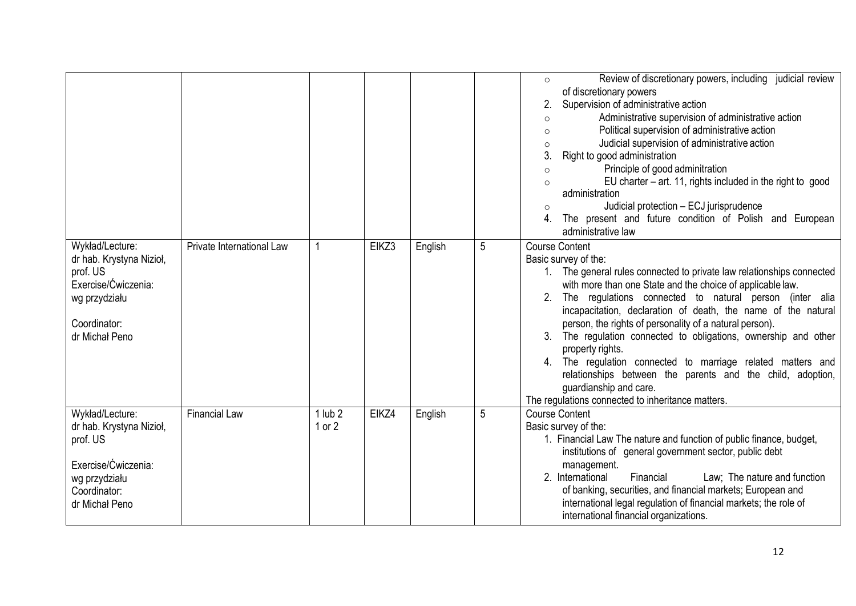|                                                                                                                                   |                           |                           |       |         |   | Review of discretionary powers, including judicial review<br>$\circ$<br>of discretionary powers<br>Supervision of administrative action<br>Administrative supervision of administrative action<br>$\circ$<br>Political supervision of administrative action<br>$\circ$<br>Judicial supervision of administrative action<br>$\circ$<br>3.<br>Right to good administration<br>Principle of good adminitration<br>$\circ$<br>EU charter $-$ art. 11, rights included in the right to good<br>administration<br>Judicial protection - ECJ jurisprudence<br>The present and future condition of Polish and European<br>administrative law                                              |
|-----------------------------------------------------------------------------------------------------------------------------------|---------------------------|---------------------------|-------|---------|---|-----------------------------------------------------------------------------------------------------------------------------------------------------------------------------------------------------------------------------------------------------------------------------------------------------------------------------------------------------------------------------------------------------------------------------------------------------------------------------------------------------------------------------------------------------------------------------------------------------------------------------------------------------------------------------------|
| Wykład/Lecture:<br>dr hab. Krystyna Nizioł,<br>prof. US<br>Exercise/Ćwiczenia:<br>wg przydziału<br>Coordinator:<br>dr Michał Peno | Private International Law |                           | EIKZ3 | English | 5 | <b>Course Content</b><br>Basic survey of the:<br>1. The general rules connected to private law relationships connected<br>with more than one State and the choice of applicable law.<br>2. The regulations connected to natural person (inter alia<br>incapacitation, declaration of death, the name of the natural<br>person, the rights of personality of a natural person).<br>3. The regulation connected to obligations, ownership and other<br>property rights.<br>4. The regulation connected to marriage related matters and<br>relationships between the parents and the child, adoption,<br>guardianship and care.<br>The regulations connected to inheritance matters. |
| Wykład/Lecture:<br>dr hab. Krystyna Nizioł,<br>prof. US<br>Exercise/Ćwiczenia:<br>wg przydziału<br>Coordinator:<br>dr Michał Peno | <b>Financial Law</b>      | $1$ lub $2$<br>$1$ or $2$ | EIKZ4 | English | 5 | <b>Course Content</b><br>Basic survey of the:<br>1. Financial Law The nature and function of public finance, budget,<br>institutions of general government sector, public debt<br>management.<br>Financial<br>Law; The nature and function<br>2. International<br>of banking, securities, and financial markets; European and<br>international legal regulation of financial markets; the role of<br>international financial organizations.                                                                                                                                                                                                                                       |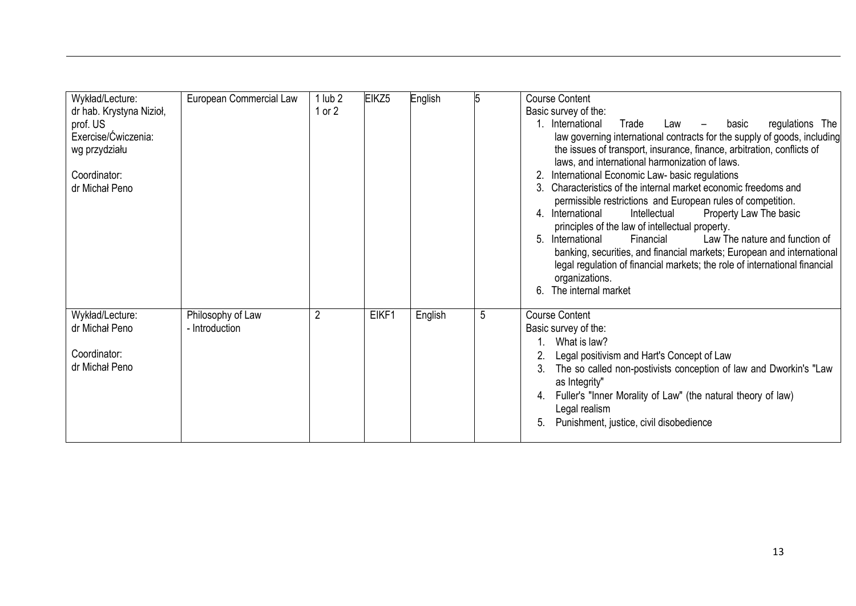| Wykład/Lecture:<br>dr hab. Krystyna Nizioł,<br>prof. US<br>Exercise/Ćwiczenia:<br>wg przydziału<br>Coordinator:<br>dr Michał Peno | European Commercial Law             | $1$ lub $2$<br>1 or 2 | EIKZ <sub>5</sub> | English | 15 | <b>Course Content</b><br>Basic survey of the:<br>1. International<br>regulations The<br>Trade<br>basic<br>Law<br>law governing international contracts for the supply of goods, including<br>the issues of transport, insurance, finance, arbitration, conflicts of<br>laws, and international harmonization of laws.<br>International Economic Law- basic regulations<br>2.<br>Characteristics of the internal market economic freedoms and<br>3<br>permissible restrictions and European rules of competition.<br>4. International<br>Intellectual<br>Property Law The basic<br>principles of the law of intellectual property.<br>Law The nature and function of<br>5.<br>International<br>Financial<br>banking, securities, and financial markets; European and international<br>legal regulation of financial markets; the role of international financial<br>organizations.<br>The internal market<br>6. |
|-----------------------------------------------------------------------------------------------------------------------------------|-------------------------------------|-----------------------|-------------------|---------|----|----------------------------------------------------------------------------------------------------------------------------------------------------------------------------------------------------------------------------------------------------------------------------------------------------------------------------------------------------------------------------------------------------------------------------------------------------------------------------------------------------------------------------------------------------------------------------------------------------------------------------------------------------------------------------------------------------------------------------------------------------------------------------------------------------------------------------------------------------------------------------------------------------------------|
| Wykład/Lecture:<br>dr Michał Peno<br>Coordinator:<br>dr Michał Peno                                                               | Philosophy of Law<br>- Introduction | $\overline{2}$        | EIKF1             | English | 5  | <b>Course Content</b><br>Basic survey of the:<br>What is law?<br>Legal positivism and Hart's Concept of Law<br>The so called non-postivists conception of law and Dworkin's "Law<br>3.<br>as Integrity"<br>Fuller's "Inner Morality of Law" (the natural theory of law)<br>4.<br>Legal realism<br>Punishment, justice, civil disobedience<br>5.                                                                                                                                                                                                                                                                                                                                                                                                                                                                                                                                                                |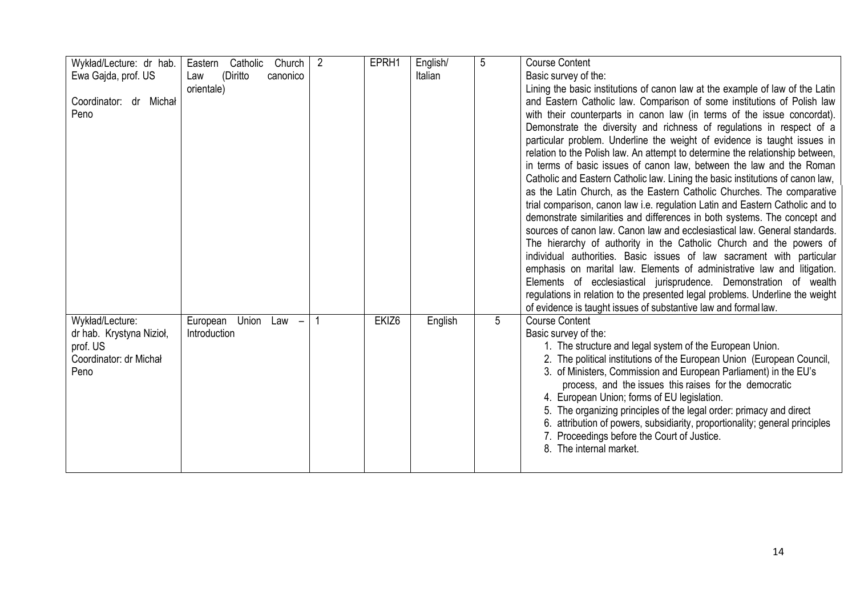| Wykład/Lecture: dr hab.<br>Ewa Gajda, prof. US<br>Coordinator: dr Michał<br>Peno          | Catholic<br>Church<br>Eastern<br>(Diritto<br>canonico<br>Law<br>orientale) | $\overline{2}$ | EPRH1             | English/<br>Italian | 5 | <b>Course Content</b><br>Basic survey of the:<br>Lining the basic institutions of canon law at the example of law of the Latin<br>and Eastern Catholic law. Comparison of some institutions of Polish law<br>with their counterparts in canon law (in terms of the issue concordat).<br>Demonstrate the diversity and richness of regulations in respect of a<br>particular problem. Underline the weight of evidence is taught issues in<br>relation to the Polish law. An attempt to determine the relationship between,<br>in terms of basic issues of canon law, between the law and the Roman<br>Catholic and Eastern Catholic law. Lining the basic institutions of canon law,<br>as the Latin Church, as the Eastern Catholic Churches. The comparative<br>trial comparison, canon law i.e. regulation Latin and Eastern Catholic and to<br>demonstrate similarities and differences in both systems. The concept and<br>sources of canon law. Canon law and ecclesiastical law. General standards.<br>The hierarchy of authority in the Catholic Church and the powers of<br>individual authorities. Basic issues of law sacrament with particular<br>emphasis on marital law. Elements of administrative law and litigation.<br>Elements of ecclesiastical jurisprudence. Demonstration of wealth<br>regulations in relation to the presented legal problems. Underline the weight |
|-------------------------------------------------------------------------------------------|----------------------------------------------------------------------------|----------------|-------------------|---------------------|---|---------------------------------------------------------------------------------------------------------------------------------------------------------------------------------------------------------------------------------------------------------------------------------------------------------------------------------------------------------------------------------------------------------------------------------------------------------------------------------------------------------------------------------------------------------------------------------------------------------------------------------------------------------------------------------------------------------------------------------------------------------------------------------------------------------------------------------------------------------------------------------------------------------------------------------------------------------------------------------------------------------------------------------------------------------------------------------------------------------------------------------------------------------------------------------------------------------------------------------------------------------------------------------------------------------------------------------------------------------------------------------------------|
| Wykład/Lecture:<br>dr hab. Krystyna Nizioł,<br>prof. US<br>Coordinator: dr Michał<br>Peno | Union<br>European<br>Law<br>Introduction                                   |                | EKIZ <sub>6</sub> | English             | 5 | of evidence is taught issues of substantive law and formal law.<br><b>Course Content</b><br>Basic survey of the:<br>1. The structure and legal system of the European Union.<br>2. The political institutions of the European Union (European Council,<br>3. of Ministers, Commission and European Parliament) in the EU's<br>process, and the issues this raises for the democratic<br>4. European Union; forms of EU legislation.<br>5. The organizing principles of the legal order: primacy and direct<br>6. attribution of powers, subsidiarity, proportionality; general principles<br>7. Proceedings before the Court of Justice.<br>8. The internal market.                                                                                                                                                                                                                                                                                                                                                                                                                                                                                                                                                                                                                                                                                                                         |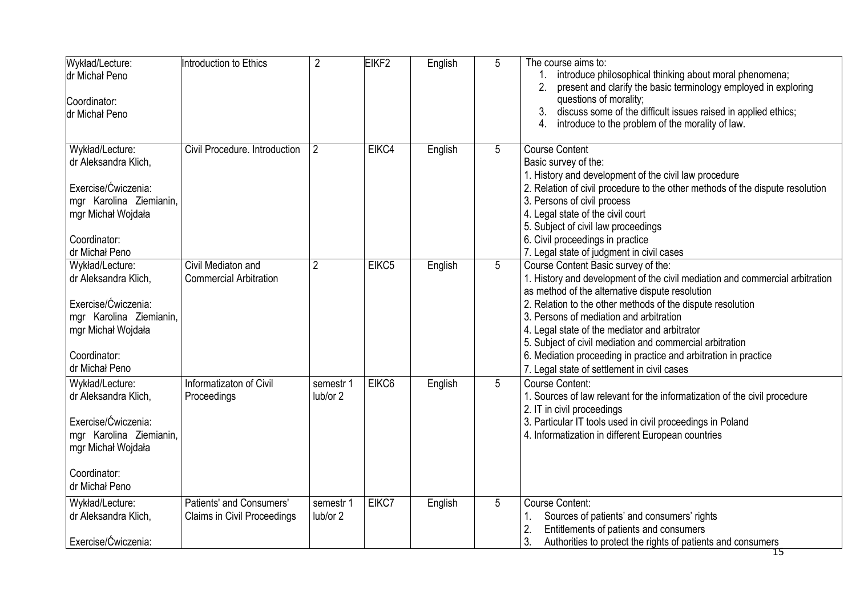| Wykład/Lecture:<br>dr Michał Peno<br>Coordinator:<br>dr Michał Peno                                                                               | Introduction to Ethics                                  | $\overline{2}$        | EIKF <sub>2</sub> | English | 5 | The course aims to:<br>introduce philosophical thinking about moral phenomena;<br>present and clarify the basic terminology employed in exploring<br>questions of morality;<br>3. discuss some of the difficult issues raised in applied ethics;<br>introduce to the problem of the morality of law.<br>4.                                                                                                                                                                                                     |
|---------------------------------------------------------------------------------------------------------------------------------------------------|---------------------------------------------------------|-----------------------|-------------------|---------|---|----------------------------------------------------------------------------------------------------------------------------------------------------------------------------------------------------------------------------------------------------------------------------------------------------------------------------------------------------------------------------------------------------------------------------------------------------------------------------------------------------------------|
| Wykład/Lecture:<br>dr Aleksandra Klich,<br>Exercise/Ćwiczenia:<br>mgr Karolina Ziemianin,<br>mgr Michał Wojdała<br>Coordinator:<br>dr Michał Peno | Civil Procedure. Introduction                           | $\overline{2}$        | EIKC4             | English | 5 | <b>Course Content</b><br>Basic survey of the:<br>1. History and development of the civil law procedure<br>2. Relation of civil procedure to the other methods of the dispute resolution<br>3. Persons of civil process<br>4. Legal state of the civil court<br>5. Subject of civil law proceedings<br>6. Civil proceedings in practice<br>7. Legal state of judgment in civil cases                                                                                                                            |
| Wykład/Lecture:<br>dr Aleksandra Klich,<br>Exercise/Ćwiczenia:<br>mgr Karolina Ziemianin,<br>mgr Michał Wojdała<br>Coordinator:<br>dr Michał Peno | Civil Mediaton and<br><b>Commercial Arbitration</b>     | $\overline{2}$        | EIKC5             | English | 5 | Course Content Basic survey of the:<br>1. History and development of the civil mediation and commercial arbitration<br>as method of the alternative dispute resolution<br>2. Relation to the other methods of the dispute resolution<br>3. Persons of mediation and arbitration<br>4. Legal state of the mediator and arbitrator<br>5. Subject of civil mediation and commercial arbitration<br>6. Mediation proceeding in practice and arbitration in practice<br>7. Legal state of settlement in civil cases |
| Wykład/Lecture:<br>dr Aleksandra Klich,<br>Exercise/Ćwiczenia:<br>mgr Karolina Ziemianin,<br>mgr Michał Wojdała<br>Coordinator:<br>dr Michał Peno | Informatizaton of Civil<br>Proceedings                  | semestr 1<br>lub/or 2 | EIKC <sub>6</sub> | English | 5 | Course Content:<br>1. Sources of law relevant for the informatization of the civil procedure<br>2. IT in civil proceedings<br>3. Particular IT tools used in civil proceedings in Poland<br>4. Informatization in different European countries                                                                                                                                                                                                                                                                 |
| Wykład/Lecture:<br>dr Aleksandra Klich,<br>Exercise/Ćwiczenia:                                                                                    | Patients' and Consumers'<br>Claims in Civil Proceedings | semestr 1<br>lub/or 2 | EIKC7             | English | 5 | <b>Course Content:</b><br>Sources of patients' and consumers' rights<br>1.<br>Entitlements of patients and consumers<br>2.<br>3.<br>Authorities to protect the rights of patients and consumers                                                                                                                                                                                                                                                                                                                |